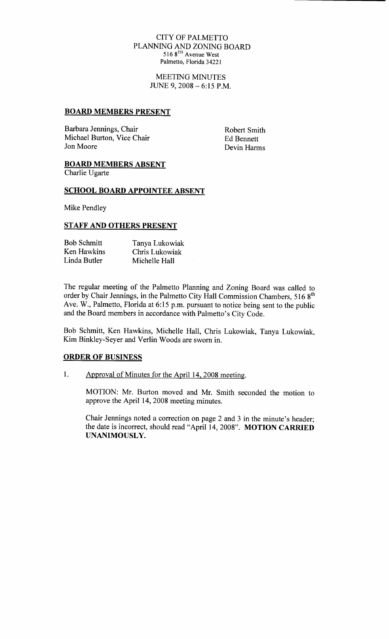#### CITY OF PALMETTO PLANNING AND ZONING BOARD 516 8TH Avenue West Palmetto, Florida 34221

MEETING MINUTES JUNE 9,  $2008 - 6:15$  P.M.

#### BOARD MEMBERS PRESENT

Barbara Jennings, Chair Robert Smith Michael Burton, Vice Chair Ed Bennett<br>
Jon Moore Devin Harm

Devin Harms

## BOARD MEMBERS ABSENT

Charlie Ugarte

### SCHOOL BOARD APPOINTEE ABSENT

Mike Pendley

### STAFF AND OTHERS PRESENT

| <b>Bob Schmitt</b> | Tanya Lukowiak |
|--------------------|----------------|
| Ken Hawkins        | Chris Lukowiak |
| Linda Butler       | Michelle Hall  |

The regular meeting of the Palmetto Planning and Zoning Board was called to order by Chair Jennings, in the Palmetto City Hall Commission Chambers, 516 8<sup>th</sup> The regular meeting of the Palmetto Planning and Zoning Board was called to<br>order by Chair Jennings, in the Palmetto City Hall Commission Chambers, 516 8<sup>th</sup><br>Ave. W., Palmetto, Florida at 6:15 p.m. pursuant to notice being The regular meeting of the Palmetto Planning and Zoning Boarder by Chair Jennings, in the Palmetto City Hall Commission C Ave. W., Palmetto, Florida at 6:15 p.m. pursuant to notice being and the Board members in accordance

Bob Schmitt, Ken Hawkins, Michelle Hall, Chris Lukowiak, Tanya Lukowiak, Kim Binkley-Seyer and Verlin Woods are sworn in.

# ORDER OF BUSINESS

1. Approval of Minutes for the April 14, 2008 meeting.

MOTION: Mr. Burton moved and Mr. Smith seconded the motion to approve the April 14, 2008 meeting minutes.

Chair Jennings noted a correction on page 2 and 3 in the minute's header; the date is incorrect, should read "April 14, 2008". MOTION CARRIED UNANIMOUSLY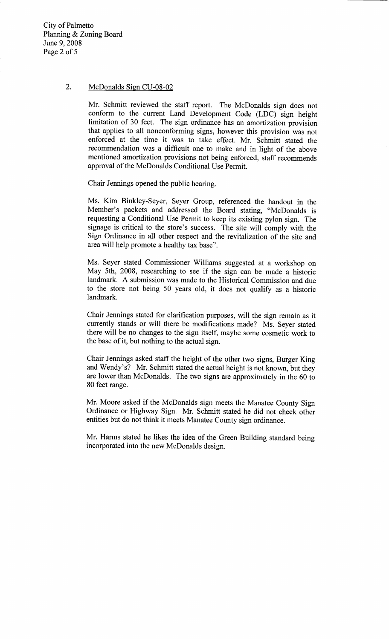City of Palmetto Planning & Zoning Board June 9, 2008 Page <sup>2</sup> of <sup>5</sup>

### 2. McDonalds Sign  $CU-08-02$

Mr. Schmitt reviewed the staff report. The McDonalds sign does not conform to the current Land Development Code (LDC) sign height limitation of 30 feet. The sign ordinance has an amortization provision that applies to all nonconforming signs, however this provision was not enforced at the time it was to take effect. Mr. Schmitt stated the recommendation was a difficult one to make and in light of the above mentioned amortization provisions not being enforced, staff recommends approval of the McDonalds Conditional Use Permit.

Chair Jennings opened the public hearing

Ms. Kim Binkley-Seyer, Seyer Group, referenced the handout in the approval of the McDonalds Conditional Use Permit.<br>
Chair Jennings opened the public hearing.<br>
Ms. Kim Binkley-Seyer, Seyer Group, referenced the handout in the<br>
Member's packets and addressed the Board stating, "McDonalds Member's packets and addressed the Board stating, "McDonalds is signage is critical to the store's success. The site will comply with the Sign Ordinance in all other respect and the revitalization of the site and area will help promote a healthy tax base".

Ms. Seyer stated Commissioner Williams suggested at a workshop on May 5th, 2008, researching to see if the sign can be made a historic landmark. A submission was made to the Historical Commission and due to the store not being 50 years old, it does not qualify as a historic landmark

Chair Jennings stated for clarification purposes, will the sign remain as it currently stands or will there be modifications made? Ms. Seyer stated there will be no changes to the sign itself, maybe some cosmetic work to the base of it, but nothing to the actual sign.

Chair Jennings asked staff the height of the other two signs, Burger King currently stands or will there be modifications made? Ms. Seyer stated<br>there will be no changes to the sign itself, maybe some cosmetic work to<br>the base of it, but nothing to the actual sign.<br>Chair Jennings asked staff the and Wendy's? Mr. Schmitt stated the actual height is not known, but they 80 feet range

Mr. Moore asked if the McDonalds sign meets the Manatee County Sign Ordinance or Highway Sign. Mr. Schmitt stated he did not check other entities but do not think it meets Manatee County sign ordinance

Mr. Harms stated he likes the idea of the Green Building standard being incorporated into the new McDonalds design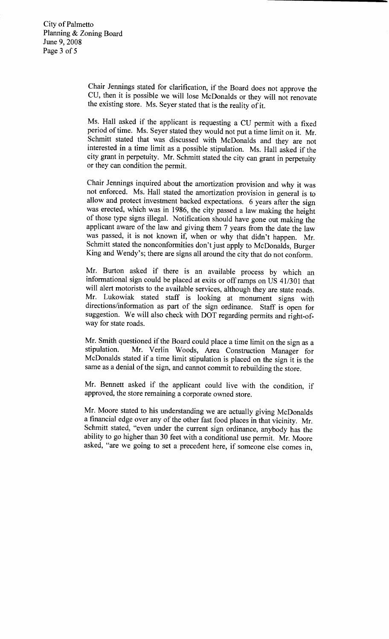Chair Jennings stated for clarification, if the Board does not approve the CU, then it is possible we will lose McDonalds or they will not renovate the existing store. Ms. Seyer stated that is the reality of it.

Ms. Hall asked if the applicant is requesting a CU permit with a fixed period of time. Ms. Seyer stated they would not put a time limit on it. Mr. Schmitt stated that was discussed with McDonalds and they are not interested in a time limit as a possible stipulation. Ms. Hall asked if the city grant in perpetuity. Mr. Schmitt stated the city can grant in perpetuity or they can condition the permit

Chair Jennings inquired about the amortization provision and why it was Final standard about the amortization provision and will was not enforced. Ms. Hall stated the amortization provision in general is to allow and protect investment backed expectations. 6 years after the sign was erected, w allow and protect investment backed expectations. 6 years after the sign was erected, which was in 1986, the city passed a law making the height of those type signs illegal. Notification should have gone out making the applicant aware of the law and giving them 7 years from the date the law was passed, it is not known if, when or why that didn't happen. Mr. anow and protect investment backed exp<br>was erected, which was in 1986, the city<br>of those type signs illegal. Notification<br>applicant aware of the law and giving th<br>was passed, it is not known if, when of<br>Schmitt stated the Schmitt stated the nonconformities don't just apply to McDonalds, Burger was elected, which<br>of those type signs<br>applicant aware of t<br>was passed, it is n<br>Schmitt stated the n<br>King and Wendy's;<br>Mr. Burton asked King and Wendy's; there are signs all around the city that do not conform.

Mr. Burton asked if there is an available process by which an informational sign could be placed at exits or offramps on US 41301 that will alert motorists to the available services, although they are state roads. Mr. Lukowiak stated staff is looking at monument signs with directions/information as part of the sign ordinance. Staff is open for suggestion. We will also check with DOT regarding permits and right-ofway for state roads

Mr. Smith questioned if the Board could place a time limit on the sign as a stipulation. Mr. Verlin Woods. Area Construction Manager for Mr. Verlin Woods, Area Construction Manager for McDonalds stated if <sup>a</sup> time limit stipulation is placed on the sign it is the same as a denial of the sign, and cannot commit to rebuilding the store.

Mr. Bennett asked if the applicant could live with the condition, if approved, the store remaining a corporate owned store.

Mr. Moore stated to his understanding we are actually giving McDonalds a financial edge over any of the other fast food places in that vicinity. Mr. Schmitt stated, "even under the current sign ordinance, anybody has the ability to go higher than 30 feet with a conditional use permit. Mr. Moore asked, "are we going to set a precedent here, if someone else comes in,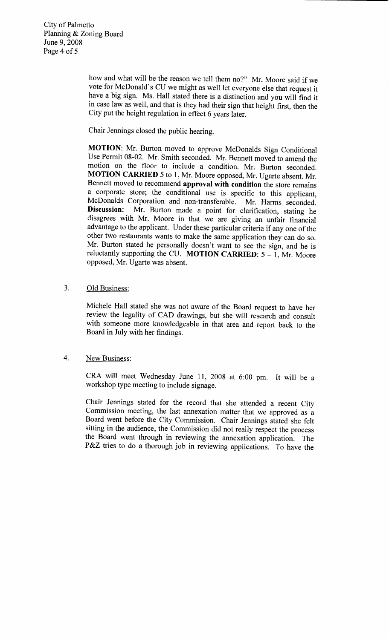how and what will be the reason we tell them no?" Mr. Moore said if we vote for McDonald's CU we might as well let everyone else that request it how and what will be the reason we tell them no?" Mr. Moore said if we<br>vote for McDonald's CU we might as well let everyone else that request it<br>have a big sign. Ms. Hall stated there is a distinction and you will find it<br> in case law as well, and that is they had their sign that height first, then the City put the height regulation in effect <sup>6</sup> years later

Chair Jennings closed the public hearing

MOTION: Mr. Burton moved to approve McDonalds Sign Conditional Use Permit 08-02. Mr. Smith seconded. Mr. Bennett moved to amend the motion on the floor to include a condition. Mr. Burton seconded. MOTION CARRIED 5 to 1, Mr. Moore opposed, Mr. Ugarte absent. Mr. Bennett moved to recommend approval with condition the store remains a corporate store; the conditional use is specific to this applicant. Bennett moved to recommend **approval with condition** the store remains<br>a corporate store; the conditional use is specific to this applicant,<br>McDonalds Corporation and non-transferable. Mr. Harms seconded.<br>Discussion: Mr. B McDonalds Corporation and non-transferable. Mr. Harms seconded.<br>Discussion: Mr. Burton made a point for clarification, stating he disagrees with Mr. Moore in that we are giving an unfair financial advantage to the applicant. Under these particular criteria if any one of the other two restaurants wants to make the same application they can do so.<br>Mr. Burton stated he personally doesn't want to see the sign, and he is Bennett moved to recommend **approval with condition** the store remains<br>a corporate store; the conditional use is specific to this applicant<br>McDonalds Corporation and non-transferable. Mr. Harms seconded.<br>**Discussion**: Mr. reluctantly supporting the CU. MOTION CARRIED:  $5 - 1$ , Mr. Moore opposed, Mr. Ugarte was absent.

## 3. Old Business:

Michele Hall stated she was not aware of the Board request to have her review the legality of CAD drawings, but she will research and consult with someone more knowledgeable in that area and report back to the Board in July with her findings

# 4. New Business:

CRA will meet Wednesday June 11, 2008 at 6:00 pm. It will be a workshop type meeting to include signage

Chair Jennings stated for the record that she attended <sup>a</sup> recent City Commission meeting, the last annexation matter that we approved as a Board went before the City Commission. Chair Jennings stated she felt sitting in the audience, the Commission did not really respect the process the Board went through in reviewing the annexation application. The sitting in the audie<br>the Board went the<br>P&Z tries to do a P&Z tries to do a thorough job in reviewing applications. To have the